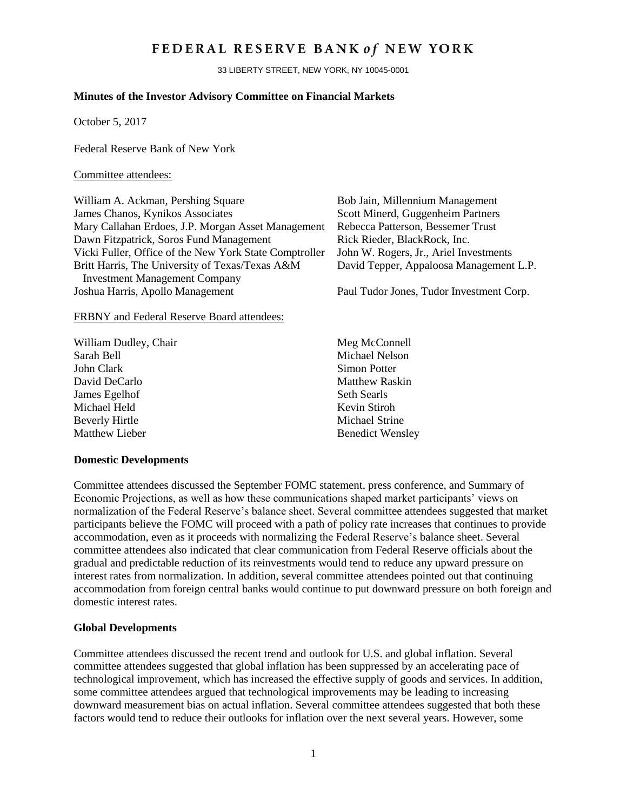## FEDERAL RESERVE BANK of NEW YORK

33 LIBERTY STREET, NEW YORK, NY 10045-0001

### **Minutes of the Investor Advisory Committee on Financial Markets**

October 5, 2017

Federal Reserve Bank of New York

#### Committee attendees:

William A. Ackman, Pershing Square Bob Jain, Millennium Management James Chanos, Kynikos Associates<br>Mary Callahan Erdoes, J.P. Morgan Asset Management Rebecca Patterson. Bessemer Trust Mary Callahan Erdoes, J.P. Morgan Asset Management Dawn Fitzpatrick, Soros Fund Management Rick Rieder, BlackRock, Inc. Vicki Fuller, Office of the New York State Comptroller John W. Rogers, Jr., Ariel Investments Britt Harris, The University of Texas/Texas A&M Investment Management Company Joshua Harris, Apollo Management Paul Tudor Jones, Tudor Investment Corp.

FRBNY and Federal Reserve Board attendees:

| William Dudley, Chair |  |
|-----------------------|--|
| Sarah Bell            |  |
| John Clark            |  |
| David DeCarlo         |  |
| James Egelhof         |  |
| Michael Held          |  |
| <b>Beverly Hirtle</b> |  |
| Matthew Lieber        |  |

David Tepper, Appaloosa Management L.P.

Meg McConnell Michael Nelson Simon Potter Matthew Raskin Seth Searls Kevin Stiroh Michael Strine Benedict Wensley

#### **Domestic Developments**

Committee attendees discussed the September FOMC statement, press conference, and Summary of Economic Projections, as well as how these communications shaped market participants' views on normalization of the Federal Reserve's balance sheet. Several committee attendees suggested that market participants believe the FOMC will proceed with a path of policy rate increases that continues to provide accommodation, even as it proceeds with normalizing the Federal Reserve's balance sheet. Several committee attendees also indicated that clear communication from Federal Reserve officials about the gradual and predictable reduction of its reinvestments would tend to reduce any upward pressure on interest rates from normalization. In addition, several committee attendees pointed out that continuing accommodation from foreign central banks would continue to put downward pressure on both foreign and domestic interest rates.

#### **Global Developments**

Committee attendees discussed the recent trend and outlook for U.S. and global inflation. Several committee attendees suggested that global inflation has been suppressed by an accelerating pace of technological improvement, which has increased the effective supply of goods and services. In addition, some committee attendees argued that technological improvements may be leading to increasing downward measurement bias on actual inflation. Several committee attendees suggested that both these factors would tend to reduce their outlooks for inflation over the next several years. However, some